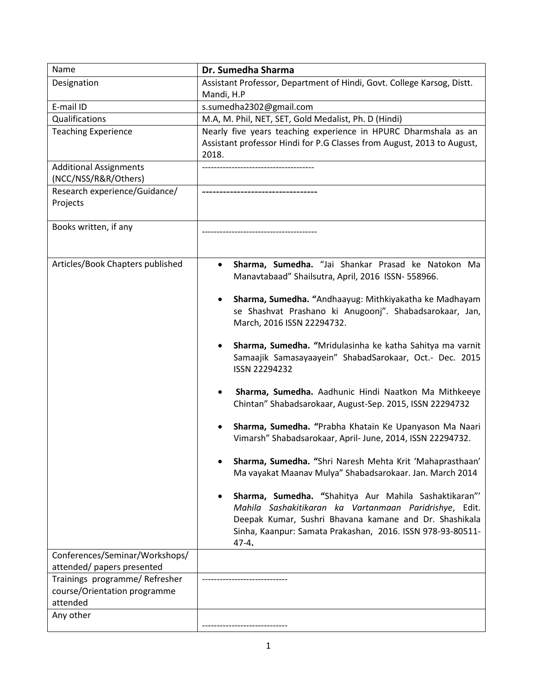| Name                                     | Dr. Sumedha Sharma                                                                                            |
|------------------------------------------|---------------------------------------------------------------------------------------------------------------|
| Designation                              | Assistant Professor, Department of Hindi, Govt. College Karsog, Distt.                                        |
|                                          | Mandi, H.P                                                                                                    |
| E-mail ID                                | s.sumedha2302@gmail.com                                                                                       |
| Qualifications                           | M.A, M. Phil, NET, SET, Gold Medalist, Ph. D (Hindi)                                                          |
| <b>Teaching Experience</b>               | Nearly five years teaching experience in HPURC Dharmshala as an                                               |
|                                          | Assistant professor Hindi for P.G Classes from August, 2013 to August,                                        |
|                                          | 2018.                                                                                                         |
| <b>Additional Assignments</b>            |                                                                                                               |
| (NCC/NSS/R&R/Others)                     |                                                                                                               |
| Research experience/Guidance/            |                                                                                                               |
| Projects                                 |                                                                                                               |
|                                          |                                                                                                               |
| Books written, if any                    |                                                                                                               |
|                                          |                                                                                                               |
|                                          |                                                                                                               |
| Articles/Book Chapters published         | Sharma, Sumedha. "Jai Shankar Prasad ke Natokon Ma<br>٠<br>Manavtabaad" Shailsutra, April, 2016 ISSN- 558966. |
|                                          |                                                                                                               |
|                                          | Sharma, Sumedha. "Andhaayug: Mithkiyakatha ke Madhayam                                                        |
|                                          | se Shashvat Prashano ki Anugoonj". Shabadsarokaar, Jan,                                                       |
|                                          | March, 2016 ISSN 22294732.                                                                                    |
|                                          |                                                                                                               |
|                                          | Sharma, Sumedha. "Mridulasinha ke katha Sahitya ma varnit<br>$\bullet$                                        |
|                                          | Samaajik Samasayaayein" ShabadSarokaar, Oct.- Dec. 2015                                                       |
|                                          | ISSN 22294232                                                                                                 |
|                                          |                                                                                                               |
|                                          | Sharma, Sumedha. Aadhunic Hindi Naatkon Ma Mithkeeye                                                          |
|                                          | Chintan" Shabadsarokaar, August-Sep. 2015, ISSN 22294732                                                      |
|                                          | Sharma, Sumedha. "Prabha Khatain Ke Upanyason Ma Naari                                                        |
|                                          | Vimarsh" Shabadsarokaar, April- June, 2014, ISSN 22294732.                                                    |
|                                          |                                                                                                               |
|                                          | Sharma, Sumedha. "Shri Naresh Mehta Krit 'Mahaprasthaan'                                                      |
|                                          | Ma vayakat Maanav Mulya" Shabadsarokaar. Jan. March 2014                                                      |
|                                          |                                                                                                               |
|                                          | Sharma, Sumedha. "Shahitya Aur Mahila Sashaktikaran"'<br>$\bullet$                                            |
|                                          | Mahila Sashakitikaran ka Vartanmaan Paridrishye, Edit.                                                        |
|                                          | Deepak Kumar, Sushri Bhavana kamane and Dr. Shashikala                                                        |
|                                          | Sinha, Kaanpur: Samata Prakashan, 2016. ISSN 978-93-80511-                                                    |
|                                          | 47-4.                                                                                                         |
| Conferences/Seminar/Workshops/           |                                                                                                               |
| attended/ papers presented               |                                                                                                               |
| Trainings programme/ Refresher           |                                                                                                               |
| course/Orientation programme<br>attended |                                                                                                               |
| Any other                                |                                                                                                               |
|                                          |                                                                                                               |